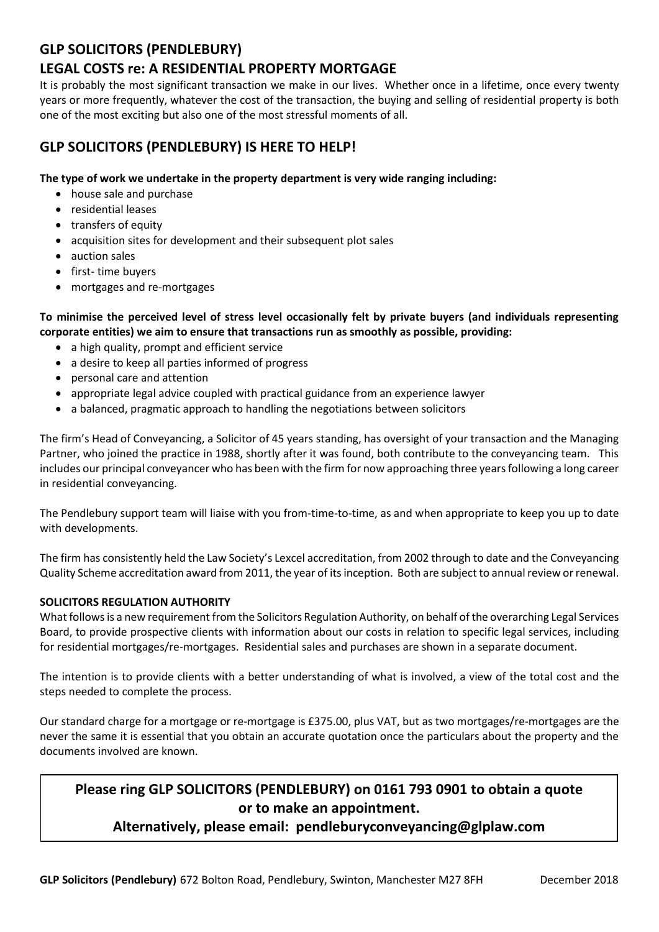## **GLP SOLICITORS (PENDLEBURY)**

## **LEGAL COSTS re: A RESIDENTIAL PROPERTY MORTGAGE**

It is probably the most significant transaction we make in our lives. Whether once in a lifetime, once every twenty years or more frequently, whatever the cost of the transaction, the buying and selling of residential property is both one of the most exciting but also one of the most stressful moments of all.

## **GLP SOLICITORS (PENDLEBURY) IS HERE TO HELP!**

#### **The type of work we undertake in the property department is very wide ranging including:**

- house sale and purchase
- residential leases
- transfers of equity
- acquisition sites for development and their subsequent plot sales
- auction sales
- first- time buyers
- mortgages and re-mortgages

**To minimise the perceived level of stress level occasionally felt by private buyers (and individuals representing corporate entities) we aim to ensure that transactions run as smoothly as possible, providing:**

- a high quality, prompt and efficient service
- a desire to keep all parties informed of progress
- personal care and attention
- appropriate legal advice coupled with practical guidance from an experience lawyer
- a balanced, pragmatic approach to handling the negotiations between solicitors

The firm's Head of Conveyancing, a Solicitor of 45 years standing, has oversight of your transaction and the Managing Partner, who joined the practice in 1988, shortly after it was found, both contribute to the conveyancing team. This includes our principal conveyancer who has been with the firm for now approaching three years following a long career in residential conveyancing.

The Pendlebury support team will liaise with you from-time-to-time, as and when appropriate to keep you up to date with developments.

The firm has consistently held the Law Society's Lexcel accreditation, from 2002 through to date and the Conveyancing Quality Scheme accreditation award from 2011, the year of its inception. Both are subject to annual review or renewal.

#### **SOLICITORS REGULATION AUTHORITY**

What follows is a new requirement from the Solicitors Regulation Authority, on behalf of the overarching Legal Services Board, to provide prospective clients with information about our costs in relation to specific legal services, including for residential mortgages/re-mortgages. Residential sales and purchases are shown in a separate document.

The intention is to provide clients with a better understanding of what is involved, a view of the total cost and the steps needed to complete the process.

Our standard charge for a mortgage or re-mortgage is £375.00, plus VAT, but as two mortgages/re-mortgages are the never the same it is essential that you obtain an accurate quotation once the particulars about the property and the documents involved are known.

# **Please ring GLP SOLICITORS (PENDLEBURY) on 0161 793 0901 to obtain a quote or to make an appointment.**

### **Alternatively, please email: pendleburyconveyancing@glplaw.com**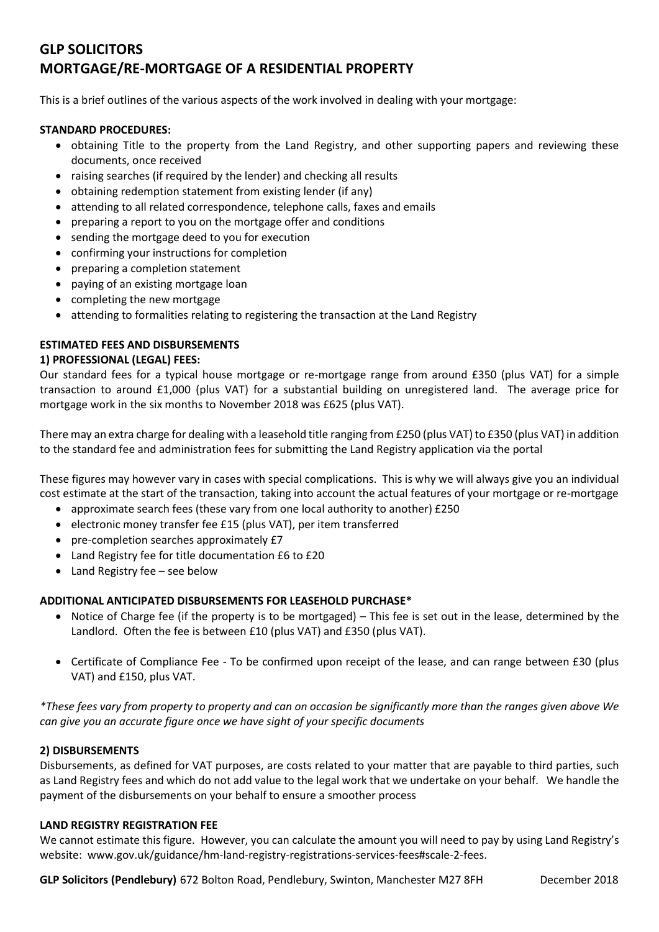## **GLP SOLICITORS MORTGAGE/RE-MORTGAGE OF A RESIDENTIAL PROPERTY**

This is a brief outlines of the various aspects of the work involved in dealing with your mortgage:

#### **STANDARD PROCEDURES:**

- obtaining Title to the property from the Land Registry, and other supporting papers and reviewing these documents, once received
- raising searches (if required by the lender) and checking all results
- obtaining redemption statement from existing lender (if any)
- attending to all related correspondence, telephone calls, faxes and emails
- preparing a report to you on the mortgage offer and conditions
- sending the mortgage deed to you for execution
- confirming your instructions for completion
- preparing a completion statement
- paying of an existing mortgage loan
- completing the new mortgage
- attending to formalities relating to registering the transaction at the Land Registry

#### **ESTIMATED FEES AND DISBURSEMENTS**

#### **1) PROFESSIONAL (LEGAL) FEES:**

Our standard fees for a typical house mortgage or re-mortgage range from around £350 (plus VAT) for a simple transaction to around £1,000 (plus VAT) for a substantial building on unregistered land. The average price for mortgage work in the six months to November 2018 was £625 (plus VAT).

There may an extra charge for dealing with a leasehold title ranging from £250 (plus VAT) to £350 (plus VAT) in addition to the standard fee and administration fees for submitting the Land Registry application via the portal

These figures may however vary in cases with special complications. This is why we will always give you an individual cost estimate at the start of the transaction, taking into account the actual features of your mortgage or re-mortgage

- approximate search fees (these vary from one local authority to another) £250
- electronic money transfer fee £15 (plus VAT), per item transferred
- pre-completion searches approximately £7
- Land Registry fee for title documentation £6 to £20
- Land Registry fee see below

#### **ADDITIONAL ANTICIPATED DISBURSEMENTS FOR LEASEHOLD PURCHASE\***

- Notice of Charge fee (if the property is to be mortgaged) This fee is set out in the lease, determined by the Landlord. Often the fee is between £10 (plus VAT) and £350 (plus VAT).
- Certificate of Compliance Fee To be confirmed upon receipt of the lease, and can range between £30 (plus VAT) and £150, plus VAT.

*\*These fees vary from property to property and can on occasion be significantly more than the ranges given above We can give you an accurate figure once we have sight of your specific documents*

#### **2) DISBURSEMENTS**

Disbursements, as defined for VAT purposes, are costs related to your matter that are payable to third parties, such as Land Registry fees and which do not add value to the legal work that we undertake on your behalf. We handle the payment of the disbursements on your behalf to ensure a smoother process

#### **LAND REGISTRY REGISTRATION FEE**

We cannot estimate this figure. However, you can calculate the amount you will need to pay by using Land Registry's website: www.gov.uk/guidance/hm-land-registry-registrations-services-fees#scale-2-fees.

**GLP Solicitors (Pendlebury)** 672 Bolton Road, Pendlebury, Swinton, Manchester M27 8FH December 2018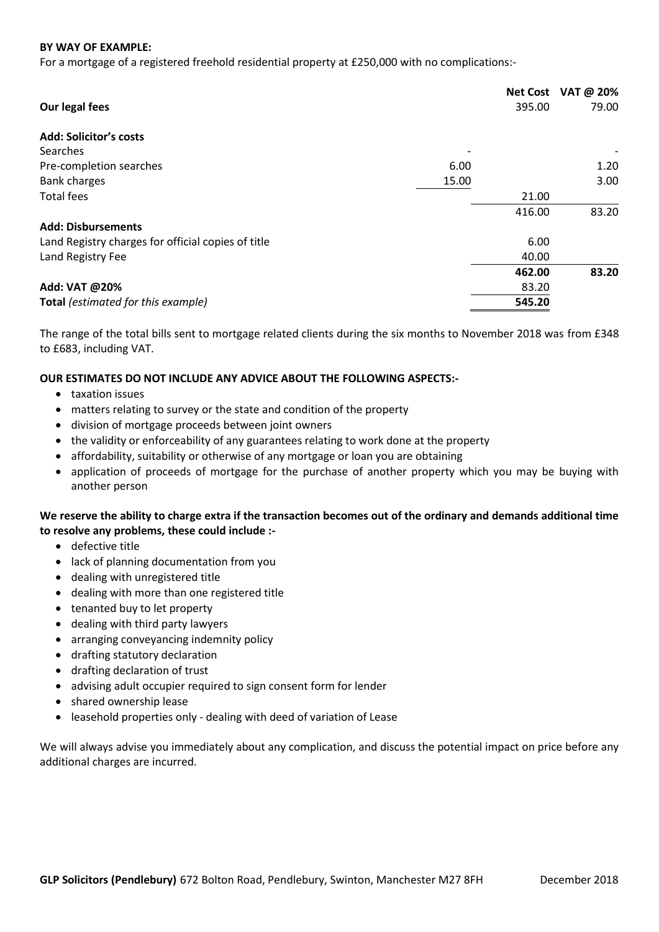#### **BY WAY OF EXAMPLE:**

For a mortgage of a registered freehold residential property at £250,000 with no complications:-

| Our legal fees                                     |       | <b>Net Cost</b><br>395.00 | VAT @ 20%<br>79.00 |
|----------------------------------------------------|-------|---------------------------|--------------------|
| <b>Add: Solicitor's costs</b>                      |       |                           |                    |
| Searches                                           |       |                           |                    |
| Pre-completion searches                            | 6.00  |                           | 1.20               |
| <b>Bank charges</b>                                | 15.00 |                           | 3.00               |
| <b>Total fees</b>                                  |       | 21.00                     |                    |
|                                                    |       | 416.00                    | 83.20              |
| <b>Add: Disbursements</b>                          |       |                           |                    |
| Land Registry charges for official copies of title |       | 6.00                      |                    |
| Land Registry Fee                                  |       | 40.00                     |                    |
|                                                    |       | 462.00                    | 83.20              |
| Add: VAT @20%                                      |       | 83.20                     |                    |
| Total (estimated for this example)                 |       | 545.20                    |                    |

The range of the total bills sent to mortgage related clients during the six months to November 2018 was from £348 to £683, including VAT.

#### **OUR ESTIMATES DO NOT INCLUDE ANY ADVICE ABOUT THE FOLLOWING ASPECTS:-**

- taxation issues
- matters relating to survey or the state and condition of the property
- division of mortgage proceeds between joint owners
- the validity or enforceability of any guarantees relating to work done at the property
- affordability, suitability or otherwise of any mortgage or loan you are obtaining
- application of proceeds of mortgage for the purchase of another property which you may be buying with another person

#### **We reserve the ability to charge extra if the transaction becomes out of the ordinary and demands additional time to resolve any problems, these could include :-**

- defective title
- lack of planning documentation from you
- dealing with unregistered title
- dealing with more than one registered title
- tenanted buy to let property
- dealing with third party lawyers
- arranging conveyancing indemnity policy
- drafting statutory declaration
- drafting declaration of trust
- advising adult occupier required to sign consent form for lender
- shared ownership lease
- leasehold properties only dealing with deed of variation of Lease

We will always advise you immediately about any complication, and discuss the potential impact on price before any additional charges are incurred.